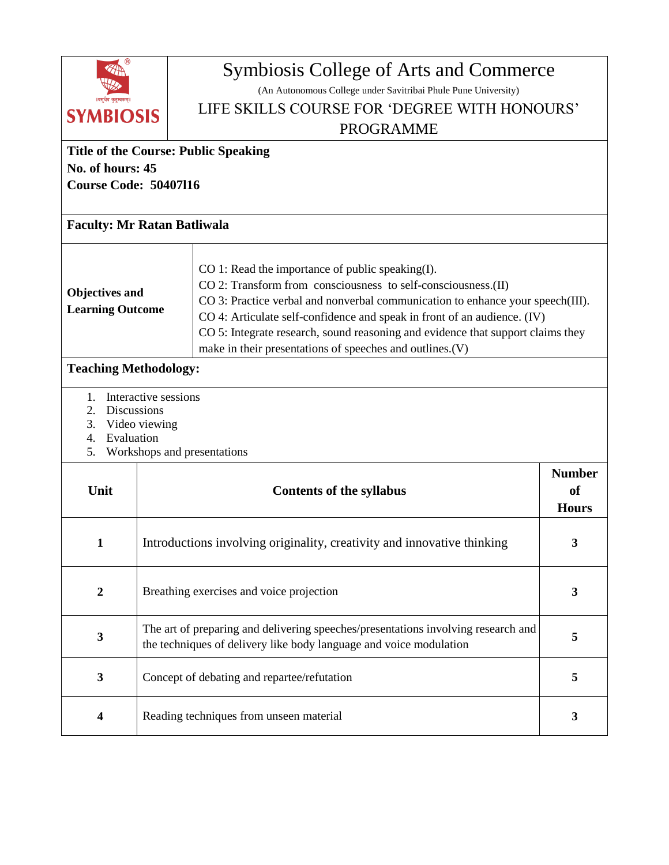| ।वस्थिव कुटुम्बकम्<br><b>SYMBIOSIS</b><br><b>Title of the Course: Public Speaking</b>                                                                                                                                                                                                                                                                                                                                                                                                                              |                                                                                                                                                              | Symbiosis College of Arts and Commerce<br>(An Autonomous College under Savitribai Phule Pune University)<br>LIFE SKILLS COURSE FOR 'DEGREE WITH HONOURS'<br><b>PROGRAMME</b> |                                                |  |  |
|--------------------------------------------------------------------------------------------------------------------------------------------------------------------------------------------------------------------------------------------------------------------------------------------------------------------------------------------------------------------------------------------------------------------------------------------------------------------------------------------------------------------|--------------------------------------------------------------------------------------------------------------------------------------------------------------|------------------------------------------------------------------------------------------------------------------------------------------------------------------------------|------------------------------------------------|--|--|
| No. of hours: 45<br><b>Course Code: 50407116</b>                                                                                                                                                                                                                                                                                                                                                                                                                                                                   |                                                                                                                                                              |                                                                                                                                                                              |                                                |  |  |
| <b>Faculty: Mr Ratan Batliwala</b>                                                                                                                                                                                                                                                                                                                                                                                                                                                                                 |                                                                                                                                                              |                                                                                                                                                                              |                                                |  |  |
| CO 1: Read the importance of public speaking(I).<br>CO 2: Transform from consciousness to self-consciousness.(II)<br><b>Objectives and</b><br>CO 3: Practice verbal and nonverbal communication to enhance your speech(III).<br><b>Learning Outcome</b><br>CO 4: Articulate self-confidence and speak in front of an audience. (IV)<br>CO 5: Integrate research, sound reasoning and evidence that support claims they<br>make in their presentations of speeches and outlines.(V)<br><b>Teaching Methodology:</b> |                                                                                                                                                              |                                                                                                                                                                              |                                                |  |  |
| Interactive sessions<br>1.<br>Discussions<br>2.<br>3.<br>Video viewing<br>Evaluation<br>4.<br>Workshops and presentations<br>5.                                                                                                                                                                                                                                                                                                                                                                                    |                                                                                                                                                              |                                                                                                                                                                              |                                                |  |  |
| Unit                                                                                                                                                                                                                                                                                                                                                                                                                                                                                                               |                                                                                                                                                              | <b>Contents of the syllabus</b>                                                                                                                                              | <b>Number</b><br><sub>of</sub><br><b>Hours</b> |  |  |
| 1                                                                                                                                                                                                                                                                                                                                                                                                                                                                                                                  | Introductions involving originality, creativity and innovative thinking                                                                                      |                                                                                                                                                                              | 3                                              |  |  |
| $\boldsymbol{2}$                                                                                                                                                                                                                                                                                                                                                                                                                                                                                                   | Breathing exercises and voice projection<br>$\mathbf{3}$                                                                                                     |                                                                                                                                                                              |                                                |  |  |
| $\mathbf{3}$                                                                                                                                                                                                                                                                                                                                                                                                                                                                                                       | The art of preparing and delivering speeches/presentations involving research and<br>5<br>the techniques of delivery like body language and voice modulation |                                                                                                                                                                              |                                                |  |  |
| $\mathbf{3}$                                                                                                                                                                                                                                                                                                                                                                                                                                                                                                       | Concept of debating and repartee/refutation<br>5                                                                                                             |                                                                                                                                                                              |                                                |  |  |
| $\overline{\mathbf{4}}$                                                                                                                                                                                                                                                                                                                                                                                                                                                                                            | Reading techniques from unseen material<br>3                                                                                                                 |                                                                                                                                                                              |                                                |  |  |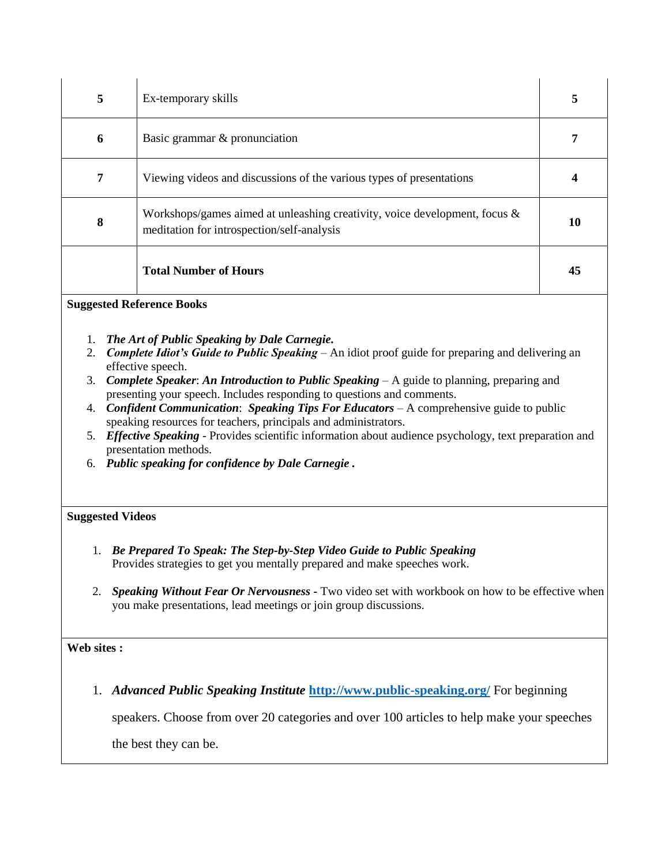| 5 | Ex-temporary skills                                                                                                      |    |
|---|--------------------------------------------------------------------------------------------------------------------------|----|
| 6 | Basic grammar & pronunciation                                                                                            |    |
| 7 | Viewing videos and discussions of the various types of presentations                                                     |    |
| 8 | Workshops/games aimed at unleashing creativity, voice development, focus &<br>meditation for introspection/self-analysis |    |
|   | <b>Total Number of Hours</b>                                                                                             | 45 |

**Suggested Reference Books** 

- 1. *The Art of Public Speaking by Dale Carnegie.*
- 2. *Complete Idiot's Guide to Public Speaking* An idiot proof guide for preparing and delivering an effective speech.
- 3. *Complete Speaker*: *An Introduction to Public Speaking*  A guide to planning, preparing and presenting your speech. Includes responding to questions and comments.
- 4. *Confident Communication*: *Speaking Tips For Educators* A comprehensive guide to public speaking resources for teachers, principals and administrators.
- 5. *Effective Speaking*  Provides scientific information about audience psychology, text preparation and presentation methods.
- 6. *Public speaking for confidence by Dale Carnegie .*

## **Suggested Videos**

- 1. *Be Prepared To Speak: The Step-by-Step Video Guide to Public Speaking* Provides strategies to get you mentally prepared and make speeches work.
- 2. *Speaking Without Fear Or Nervousness -* Two video set with workbook on how to be effective when you make presentations, lead meetings or join group discussions.

## **Web sites :**

1. *Advanced Public Speaking Institute* **<http://www.public-speaking.org/>** For beginning

speakers. Choose from over 20 categories and over 100 articles to help make your speeches

the best they can be.